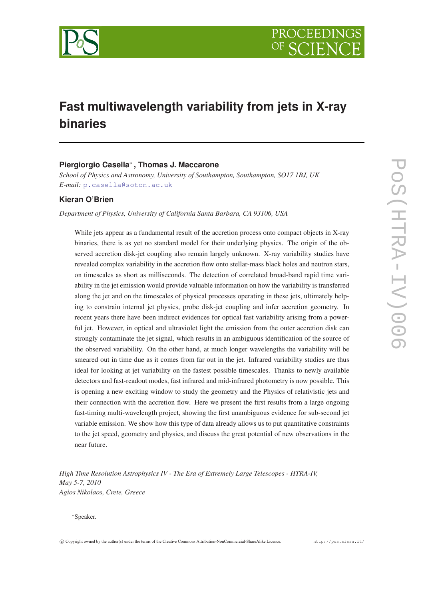

# **Fast multiwavelength variability from jets in X-ray binaries**

# **Piergiorgio Casella**<sup>∗</sup> **, Thomas J. Maccarone**

*School of Physics and Astronomy, University of Southampton, Southampton, SO17 1BJ, UK E-mail:* [p.casella@soton.ac.uk](mailto:p.casella@soton.ac.uk)

# **Kieran O'Brien**

*Department of Physics, University of California Santa Barbara, CA 93106, USA*

While jets appear as a fundamental result of the accretion process onto compact objects in X-ray binaries, there is as yet no standard model for their underlying physics. The origin of the observed accretion disk-jet coupling also remain largely unknown. X-ray variability studies have revealed complex variability in the accretion flow onto stellar-mass black holes and neutron stars, on timescales as short as milliseconds. The detection of correlated broad-band rapid time variability in the jet emission would provide valuable information on how the variability is transferred along the jet and on the timescales of physical processes operating in these jets, ultimately helping to constrain internal jet physics, probe disk-jet coupling and infer accretion geometry. In recent years there have been indirect evidences for optical fast variability arising from a powerful jet. However, in optical and ultraviolet light the emission from the outer accretion disk can strongly contaminate the jet signal, which results in an ambiguous identification of the source of the observed variability. On the other hand, at much longer wavelengths the variability will be smeared out in time due as it comes from far out in the jet. Infrared variability studies are thus ideal for looking at jet variability on the fastest possible timescales. Thanks to newly available detectors and fast-readout modes, fast infrared and mid-infrared photometry is now possible. This is opening a new exciting window to study the geometry and the Physics of relativistic jets and their connection with the accretion flow. Here we present the first results from a large ongoing fast-timing multi-wavelength project, showing the first unambiguous evidence for sub-second jet variable emission. We show how this type of data already allows us to put quantitative constraints to the jet speed, geometry and physics, and discuss the great potential of new observations in the near future.

*High Time Resolution Astrophysics IV - The Era of Extremely Large Telescopes - HTRA-IV, May 5-7, 2010 Agios Nikolaos, Crete, Greece*

<sup>∗</sup>Speaker.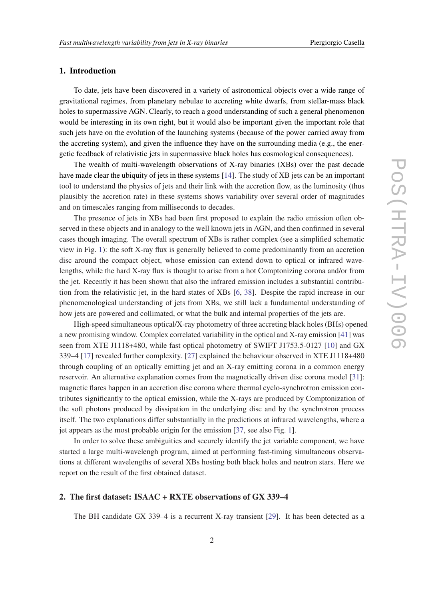### 1. Introduction

To date, jets have been discovered in a variety of astronomical objects over a wide range of gravitational regimes, from planetary nebulae to accreting white dwarfs, from stellar-mass black holes to supermassive AGN. Clearly, to reach a good understanding of such a general phenomenon would be interesting in its own right, but it would also be important given the important role that such jets have on the evolution of the launching systems (because of the power carried away from the accreting system), and given the influence they have on the surrounding media (e.g., the energetic feedback of relativistic jets in supermassive black holes has cosmological consequences).

The wealth of multi-wavelength observations of X-ray binaries (XBs) over the past decade have made clear the ubiquity of jets in these systems [[14\]](#page-7-0). The study of XB jets can be an important tool to understand the physics of jets and their link with the accretion flow, as the luminosity (thus plausibly the accretion rate) in these systems shows variability over several order of magnitudes and on timescales ranging from milliseconds to decades.

The presence of jets in XBs had been first proposed to explain the radio emission often observed in these objects and in analogy to the well known jets in AGN, and then confirmed in several cases though imaging. The overall spectrum of XBs is rather complex (see a simplified schematic view in Fig. [1\)](#page-2-0): the soft X-ray flux is generally believed to come predominantly from an accretion disc around the compact object, whose emission can extend down to optical or infrared wavelengths, while the hard X-ray flux is thought to arise from a hot Comptonizing corona and/or from the jet. Recently it has been shown that also the infrared emission includes a substantial contribution from the relativistic jet, in the hard states of XBs [\[6,](#page-7-0) [38\]](#page-8-0). Despite the rapid increase in our phenomenological understanding of jets from XBs, we still lack a fundamental understanding of how jets are powered and collimated, or what the bulk and internal properties of the jets are.

High-speed simultaneous optical/X-ray photometry of three accreting black holes (BHs) opened a new promising window. Complex correlated variability in the optical and X-ray emission [\[41](#page-8-0)] was seen from XTE J1118+480, while fast optical photometry of SWIFT J1753.5-0127 [\[10\]](#page-7-0) and GX 339–4 [[17\]](#page-7-0) revealed further complexity. [\[27\]](#page-8-0) explained the behaviour observed in XTE J1118+480 through coupling of an optically emitting jet and an X-ray emitting corona in a common energy reservoir. An alternative explanation comes from the magnetically driven disc corona model [\[31](#page-8-0)]: magnetic flares happen in an accretion disc corona where thermal cyclo-synchrotron emission contributes significantly to the optical emission, while the X-rays are produced by Comptonization of the soft photons produced by dissipation in the underlying disc and by the synchrotron process itself. The two explanations differ substantially in the predictions at infrared wavelengths, where a jet appears as the most probable origin for the emission [\[37](#page-8-0), see also Fig. [1\]](#page-2-0).

In order to solve these ambiguities and securely identify the jet variable component, we have started a large multi-wavelengh program, aimed at performing fast-timing simultaneous observations at different wavelengths of several XBs hosting both black holes and neutron stars. Here we report on the result of the first obtained dataset.

# 2. The first dataset: ISAAC + RXTE observations of GX 339–4

The BH candidate GX 339–4 is a recurrent X-ray transient [[29\]](#page-8-0). It has been detected as a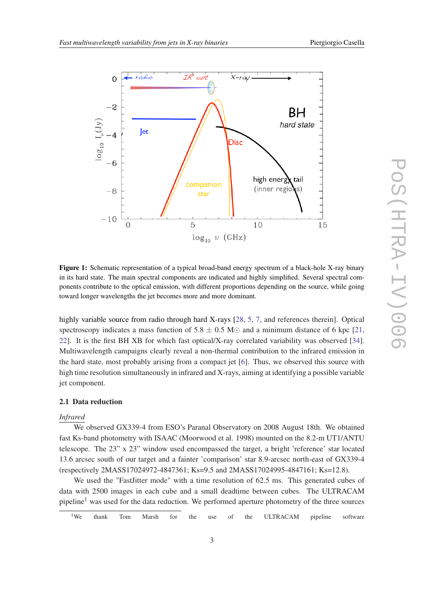<span id="page-2-0"></span>

Figure 1: Schematic representation of a typical broad-band energy spectrum of a black-hole X-ray binary in its hard state. The main spectral components are indicated and highly simplified. Several spectral components contribute to the optical emission, with different proportions depending on the source, while going toward longer wavelengths the jet becomes more and more dominant.

highly variable source from radio through hard X-rays [\[28,](#page-8-0) [5](#page-7-0), [7,](#page-7-0) and references therein]. Optical spectroscopy indicates a mass function of  $5.8 \pm 0.5$  M $\odot$  and a minimum distance of 6 kpc [\[21](#page-8-0), [22](#page-8-0)]. It is the first BH XB for which fast optical/X-ray correlated variability was observed [[34\]](#page-8-0). Multiwavelength campaigns clearly reveal a non-thermal contribution to the infrared emission in the hard state, most probably arising from a compact jet [[6](#page-7-0)]. Thus, we observed this source with high time resolution simultaneously in infrared and X-rays, aiming at identifying a possible variable jet component.

## 2.1 Data reduction

#### *Infrared*

We observed GX339-4 from ESO's Paranal Observatory on 2008 August 18th. We obtained fast Ks-band photometry with ISAAC (Moorwood et al. 1998) mounted on the 8.2-m UT1/ANTU telescope. The 23" x 23" window used encompassed the target, a bright 'reference' star located 13.6 arcsec south of our target and a fainter 'comparison' star 8.9-arcsec north-east of GX339-4 (respectively 2MASS17024972-4847361; Ks=9.5 and 2MASS17024995-4847161; Ks=12.8).

We used the "FastJitter mode" with a time resolution of 62.5 ms. This generated cubes of data with 2500 images in each cube and a small deadtime between cubes. The ULTRACAM pipeline<sup>1</sup> was used for the data reduction. We performed aperture photometry of the three sources

<sup>1</sup>We thank Tom Marsh for the use of the ULTRACAM pipeline software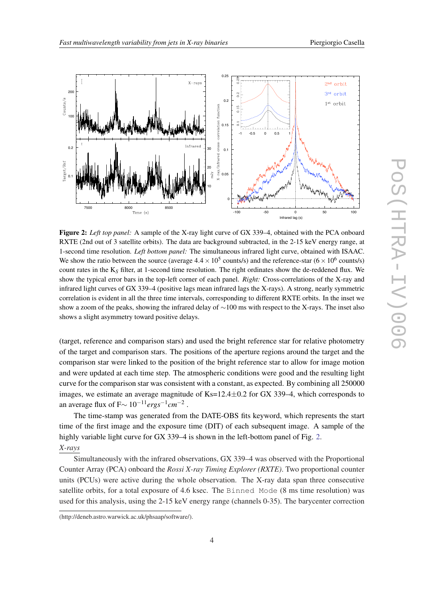<span id="page-3-0"></span>

Figure 2: *Left top panel:* A sample of the X-ray light curve of GX 339-4, obtained with the PCA onboard RXTE (2nd out of 3 satellite orbits). The data are background subtracted, in the 2-15 keV energy range, at 1-second time resolution. *Left bottom panel:* The simultaneous infrared light curve, obtained with ISAAC. We show the ratio between the source (average  $4.4 \times 10^5$  counts/s) and the reference-star ( $6 \times 10^6$  counts/s) count rates in the K*<sup>S</sup>* filter, at 1-second time resolution. The right ordinates show the de-reddened flux. We show the typical error bars in the top-left corner of each panel. *Right:* Cross-correlations of the X-ray and infrared light curves of GX 339–4 (positive lags mean infrared lags the X-rays). A strong, nearly symmetric correlation is evident in all the three time intervals, corresponding to different RXTE orbits. In the inset we show a zoom of the peaks, showing the infrared delay of ∼100 ms with respect to the X-rays. The inset also shows a slight asymmetry toward positive delays.

(target, reference and comparison stars) and used the bright reference star for relative photometry of the target and comparison stars. The positions of the aperture regions around the target and the comparison star were linked to the position of the bright reference star to allow for image motion and were updated at each time step. The atmospheric conditions were good and the resulting light curve for the comparison star was consistent with a constant, as expected. By combining all 250000 images, we estimate an average magnitude of  $Ks=12.4\pm0.2$  for GX 339–4, which corresponds to an average flux of F∼ 10−11*ergs*−<sup>1</sup> *cm*−<sup>2</sup> .

The time-stamp was generated from the DATE-OBS fits keyword, which represents the start time of the first image and the exposure time (DIT) of each subsequent image. A sample of the highly variable light curve for GX 339–4 is shown in the left-bottom panel of Fig. 2. *X-rays*

Simultaneously with the infrared observations, GX 339–4 was observed with the Proportional Counter Array (PCA) onboard the *Rossi X-ray Timing Explorer (RXTE)*. Two proportional counter units (PCUs) were active during the whole observation. The X-ray data span three consecutive satellite orbits, for a total exposure of 4.6 ksec. The Binned Mode (8 ms time resolution) was used for this analysis, using the 2-15 keV energy range (channels 0-35). The barycenter correction

<sup>(</sup>http://deneb.astro.warwick.ac.uk/phsaap/software/).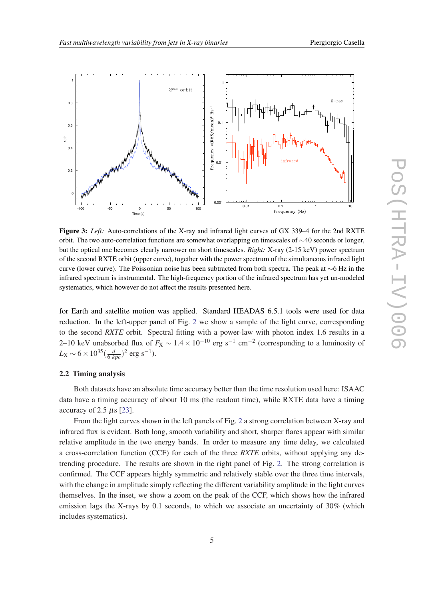<span id="page-4-0"></span>

Figure 3: *Left:* Auto-correlations of the X-ray and infrared light curves of GX 339–4 for the 2nd RXTE orbit. The two auto-correlation functions are somewhat overlapping on timescales of ∼40 seconds or longer, but the optical one becomes clearly narrower on short timescales. *Right:* X-ray (2-15 keV) power spectrum of the second RXTE orbit (upper curve), together with the power spectrum of the simultaneous infrared light curve (lower curve). The Poissonian noise has been subtracted from both spectra. The peak at ∼6 Hz in the infrared spectrum is instrumental. The high-frequency portion of the infrared spectrum has yet un-modeled systematics, which however do not affect the results presented here.

for Earth and satellite motion was applied. Standard HEADAS 6.5.1 tools were used for data reduction. In the left-upper panel of Fig. [2](#page-3-0) we show a sample of the light curve, corresponding to the second *RXTE* orbit. Spectral fitting with a power-law with photon index 1.6 results in a 2–10 keV unabsorbed flux of  $F_X \sim 1.4 \times 10^{-10}$  erg s<sup>-1</sup> cm<sup>-2</sup> (corresponding to a luminosity of  $L_X \sim 6 \times 10^{35} (\frac{d}{6 \ kpc})^2$  erg s<sup>-1</sup>).

#### 2.2 Timing analysis

Both datasets have an absolute time accuracy better than the time resolution used here: ISAAC data have a timing accuracy of about 10 ms (the readout time), while RXTE data have a timing accuracy of 2.5 µs [[23\]](#page-8-0).

From the light curves shown in the left panels of Fig. [2](#page-3-0) a strong correlation between X-ray and infrared flux is evident. Both long, smooth variability and short, sharper flares appear with similar relative amplitude in the two energy bands. In order to measure any time delay, we calculated a cross-correlation function (CCF) for each of the three *RXTE* orbits, without applying any detrending procedure. The results are shown in the right panel of Fig. [2](#page-3-0). The strong correlation is confirmed. The CCF appears highly symmetric and relatively stable over the three time intervals, with the change in amplitude simply reflecting the different variability amplitude in the light curves themselves. In the inset, we show a zoom on the peak of the CCF, which shows how the infrared emission lags the X-rays by 0.1 seconds, to which we associate an uncertainty of 30% (which includes systematics).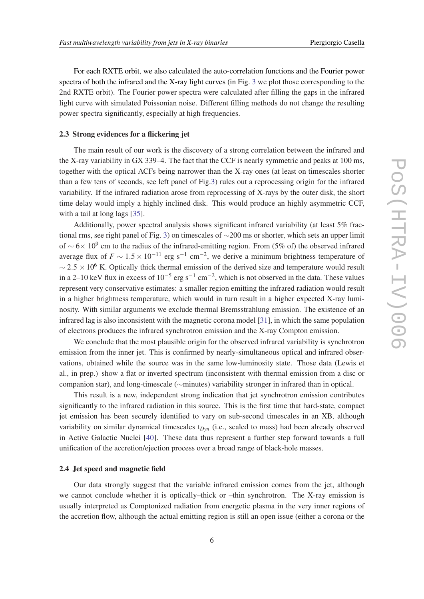For each RXTE orbit, we also calculated the auto-correlation functions and the Fourier power spectra of both the infrared and the X-ray light curves (in Fig. [3](#page-4-0) we plot those corresponding to the 2nd RXTE orbit). The Fourier power spectra were calculated after filling the gaps in the infrared light curve with simulated Poissonian noise. Different filling methods do not change the resulting power spectra significantly, especially at high frequencies.

#### 2.3 Strong evidences for a flickering jet

The main result of our work is the discovery of a strong correlation between the infrared and the X-ray variability in GX 339–4. The fact that the CCF is nearly symmetric and peaks at 100 ms, together with the optical ACFs being narrower than the X-ray ones (at least on timescales shorter than a few tens of seconds, see left panel of Fig[.3\)](#page-4-0) rules out a reprocessing origin for the infrared variability. If the infrared radiation arose from reprocessing of X-rays by the outer disk, the short time delay would imply a highly inclined disk. This would produce an highly asymmetric CCF, with a tail at long lags [\[35](#page-8-0)].

Additionally, power spectral analysis shows significant infrared variability (at least 5% fractional rms, see right panel of Fig. [3\)](#page-4-0) on timescales of ∼200 ms or shorter, which sets an upper limit of ~6× 10<sup>9</sup> cm to the radius of the infrared-emitting region. From (5% of) the observed infrared average flux of  $F \sim 1.5 \times 10^{-11}$  erg s<sup>-1</sup> cm<sup>-2</sup>, we derive a minimum brightness temperature of  $\sim$  2.5 × 10<sup>6</sup> K. Optically thick thermal emission of the derived size and temperature would result in a 2–10 keV flux in excess of  $10^{-5}$  erg s<sup>-1</sup> cm<sup>-2</sup>, which is not observed in the data. These values represent very conservative estimates: a smaller region emitting the infrared radiation would result in a higher brightness temperature, which would in turn result in a higher expected X-ray luminosity. With similar arguments we exclude thermal Bremsstrahlung emission. The existence of an infrared lag is also inconsistent with the magnetic corona model [\[31](#page-8-0)], in which the same population of electrons produces the infrared synchrotron emission and the X-ray Compton emission.

We conclude that the most plausible origin for the observed infrared variability is synchrotron emission from the inner jet. This is confirmed by nearly-simultaneous optical and infrared observations, obtained while the source was in the same low-luminosity state. Those data (Lewis et al., in prep.) show a flat or inverted spectrum (inconsistent with thermal emission from a disc or companion star), and long-timescale (∼minutes) variability stronger in infrared than in optical.

This result is a new, independent strong indication that jet synchrotron emission contributes significantly to the infrared radiation in this source. This is the first time that hard-state, compact jet emission has been securely identified to vary on sub-second timescales in an XB, although variability on similar dynamical timescales t*Dyn* (i.e., scaled to mass) had been already observed in Active Galactic Nuclei [\[40](#page-8-0)]. These data thus represent a further step forward towards a full unification of the accretion/ejection process over a broad range of black-hole masses.

#### 2.4 Jet speed and magnetic field

Our data strongly suggest that the variable infrared emission comes from the jet, although we cannot conclude whether it is optically–thick or –thin synchrotron. The X-ray emission is usually interpreted as Comptonized radiation from energetic plasma in the very inner regions of the accretion flow, although the actual emitting region is still an open issue (either a corona or the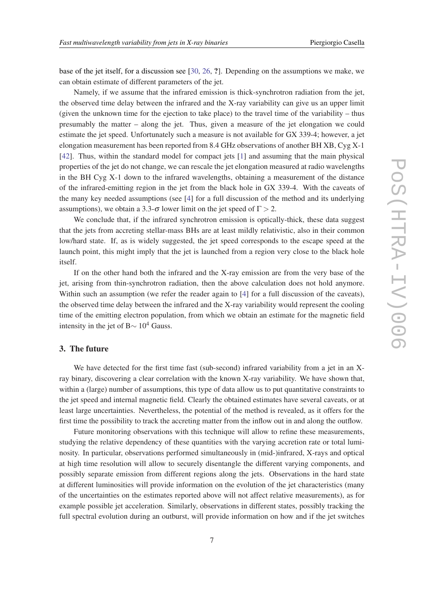base of the jet itself, for a discussion see [[30,](#page-8-0) [26](#page-8-0), ?]. Depending on the assumptions we make, we can obtain estimate of different parameters of the jet.

Namely, if we assume that the infrared emission is thick-synchrotron radiation from the jet, the observed time delay between the infrared and the X-ray variability can give us an upper limit (given the unknown time for the ejection to take place) to the travel time of the variability – thus presumably the matter – along the jet. Thus, given a measure of the jet elongation we could estimate the jet speed. Unfortunately such a measure is not available for GX 339-4; however, a jet elongation measurement has been reported from 8.4 GHz observations of another BH XB, Cyg X-1 [[42\]](#page-8-0). Thus, within the standard model for compact jets [[1](#page-7-0)] and assuming that the main physical properties of the jet do not change, we can rescale the jet elongation measured at radio wavelengths in the BH Cyg X-1 down to the infrared wavelengths, obtaining a measurement of the distance of the infrared-emitting region in the jet from the black hole in GX 339-4. With the caveats of the many key needed assumptions (see [\[4\]](#page-7-0) for a full discussion of the method and its underlying assumptions), we obtain a 3.3- $\sigma$  lower limit on the jet speed of  $\Gamma > 2$ .

We conclude that, if the infrared synchrotron emission is optically-thick, these data suggest that the jets from accreting stellar-mass BHs are at least mildly relativistic, also in their common low/hard state. If, as is widely suggested, the jet speed corresponds to the escape speed at the launch point, this might imply that the jet is launched from a region very close to the black hole itself.

If on the other hand both the infrared and the X-ray emission are from the very base of the jet, arising from thin-synchrotron radiation, then the above calculation does not hold anymore. Within such an assumption (we refer the reader again to [\[4\]](#page-7-0) for a full discussion of the caveats), the observed time delay between the infrared and the X-ray variability would represent the cooling time of the emitting electron population, from which we obtain an estimate for the magnetic field intensity in the jet of B $\sim 10^4$  Gauss.

## 3. The future

We have detected for the first time fast (sub-second) infrared variability from a jet in an Xray binary, discovering a clear correlation with the known X-ray variability. We have shown that, within a (large) number of assumptions, this type of data allow us to put quantitative constraints to the jet speed and internal magnetic field. Clearly the obtained estimates have several caveats, or at least large uncertainties. Nevertheless, the potential of the method is revealed, as it offers for the first time the possibility to track the accreting matter from the inflow out in and along the outflow.

Future monitoring observations with this technique will allow to refine these measurements, studying the relative dependency of these quantities with the varying accretion rate or total luminosity. In particular, observations performed simultaneously in (mid-)infrared, X-rays and optical at high time resolution will allow to securely disentangle the different varying components, and possibly separate emission from different regions along the jets. Observations in the hard state at different luminosities will provide information on the evolution of the jet characteristics (many of the uncertainties on the estimates reported above will not affect relative measurements), as for example possible jet acceleration. Similarly, observations in different states, possibly tracking the full spectral evolution during an outburst, will provide information on how and if the jet switches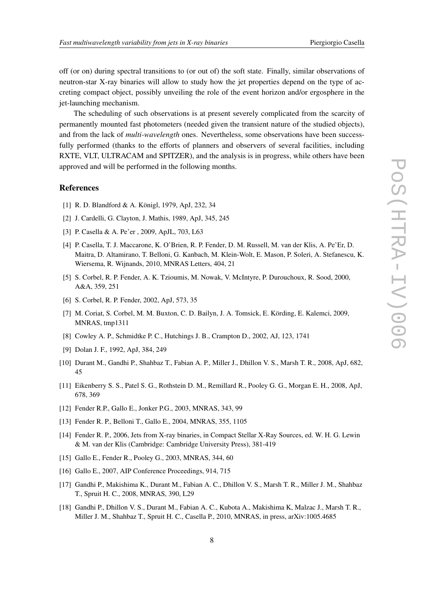<span id="page-7-0"></span>off (or on) during spectral transitions to (or out of) the soft state. Finally, similar observations of neutron-star X-ray binaries will allow to study how the jet properties depend on the type of accreting compact object, possibly unveiling the role of the event horizon and/or ergosphere in the jet-launching mechanism.

The scheduling of such observations is at present severely complicated from the scarcity of permanently mounted fast photometers (needed given the transient nature of the studied objects), and from the lack of *multi-wavelength* ones. Nevertheless, some observations have been successfully performed (thanks to the efforts of planners and observers of several facilities, including RXTE, VLT, ULTRACAM and SPITZER), and the analysis is in progress, while others have been approved and will be performed in the following months.

#### References

- [1] R. D. Blandford & A. Königl, 1979, ApJ, 232, 34
- [2] J. Cardelli, G. Clayton, J. Mathis, 1989, ApJ, 345, 245
- [3] P. Casella & A. Pe'er , 2009, ApJL, 703, L63
- [4] P. Casella, T. J. Maccarone, K. O'Brien, R. P. Fender, D. M. Russell, M. van der Klis, A. Pe'Er, D. Maitra, D. Altamirano, T. Belloni, G. Kanbach, M. Klein-Wolt, E. Mason, P. Soleri, A. Stefanescu, K. Wiersema, R. Wijnands, 2010, MNRAS Letters, 404, 21
- [5] S. Corbel, R. P. Fender, A. K. Tzioumis, M. Nowak, V. McIntyre, P. Durouchoux, R. Sood, 2000, A&A, 359, 251
- [6] S. Corbel, R. P. Fender, 2002, ApJ, 573, 35
- [7] M. Coriat, S. Corbel, M. M. Buxton, C. D. Bailyn, J. A. Tomsick, E. Körding, E. Kalemci, 2009, MNRAS, tmp1311
- [8] Cowley A. P., Schmidtke P. C., Hutchings J. B., Crampton D., 2002, AJ, 123, 1741
- [9] Dolan J. F., 1992, ApJ, 384, 249
- [10] Durant M., Gandhi P., Shahbaz T., Fabian A. P., Miller J., Dhillon V. S., Marsh T. R., 2008, ApJ, 682, 45
- [11] Eikenberry S. S., Patel S. G., Rothstein D. M., Remillard R., Pooley G. G., Morgan E. H., 2008, ApJ, 678, 369
- [12] Fender R.P., Gallo E., Jonker P.G., 2003, MNRAS, 343, 99
- [13] Fender R. P., Belloni T., Gallo E., 2004, MNRAS, 355, 1105
- [14] Fender R. P., 2006, Jets from X-ray binaries, in Compact Stellar X-Ray Sources, ed. W. H. G. Lewin & M. van der Klis (Cambridge: Cambridge University Press), 381-419
- [15] Gallo E., Fender R., Pooley G., 2003, MNRAS, 344, 60
- [16] Gallo E., 2007, AIP Conference Proceedings, 914, 715
- [17] Gandhi P., Makishima K., Durant M., Fabian A. C., Dhillon V. S., Marsh T. R., Miller J. M., Shahbaz T., Spruit H. C., 2008, MNRAS, 390, L29
- [18] Gandhi P., Dhillon V. S., Durant M., Fabian A. C., Kubota A., Makishima K, Malzac J., Marsh T. R., Miller J. M., Shahbaz T., Spruit H. C., Casella P., 2010, MNRAS, in press, arXiv:1005.4685